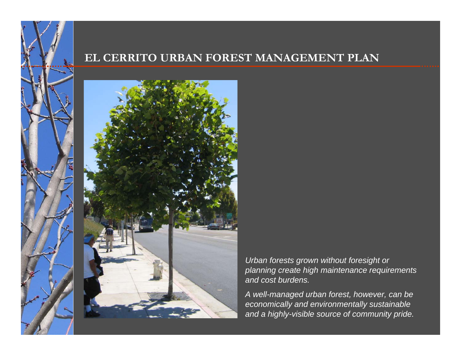### **EL CERRITO URBAN FOREST MANAGEMENT PLAN**



*Urban forests grown without foresight or planning create high maintenance requirements and cost burdens.* 

*A well-managed urban forest, however, can be economically and environmentally sustainable and a highly-visible source of community pride.*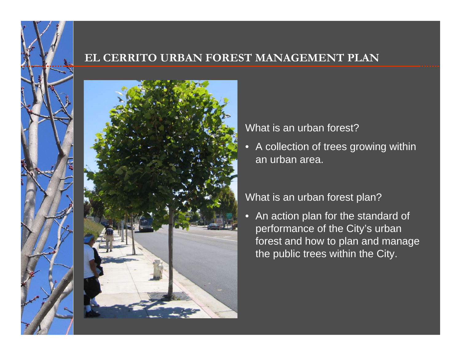### **EL CERRITO URBAN FOREST MANAGEMENT PLAN**



### What is an urban forest?

•A collection of trees growing within an urban area.

### What is an urban forest plan?

• An action plan for the standard of performance of the City's urban forest and how to plan and manage the public trees within the City.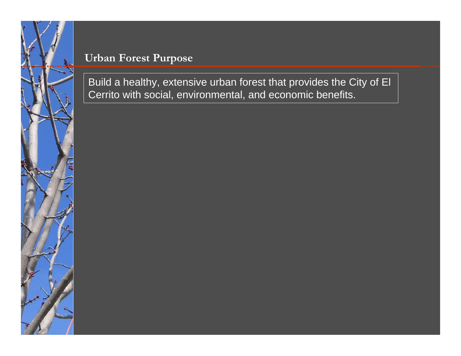

### **Urban Forest Purpose**

Build a healthy, extensive urban forest that provides the City of El Cerrito with social, environmental, and economic benefits.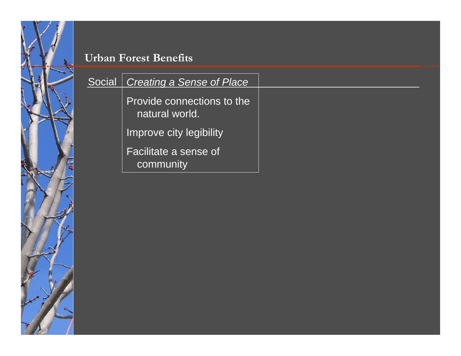مبرا

| Social | Creating a Sense of Place                    |  |
|--------|----------------------------------------------|--|
|        | Provide connections to the<br>natural world. |  |
|        | Improve city legibility                      |  |
|        | <b>Facilitate a sense of</b><br>community    |  |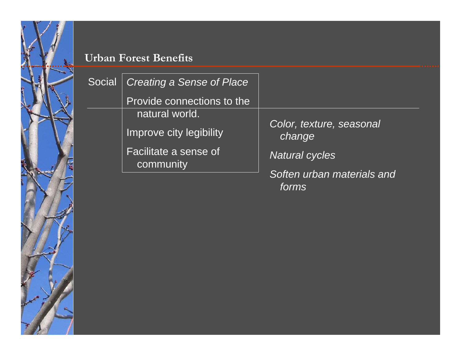| Social | <b>Creating a Sense of Place</b>   |                                     |
|--------|------------------------------------|-------------------------------------|
|        | Provide connections to the         |                                     |
|        | natural world.                     |                                     |
|        | Improve city legibility            | Color, texture, seasonal<br>change  |
|        | Facilitate a sense of<br>community | <b>Natural cycles</b>               |
|        |                                    | Soften urban materials and<br>forms |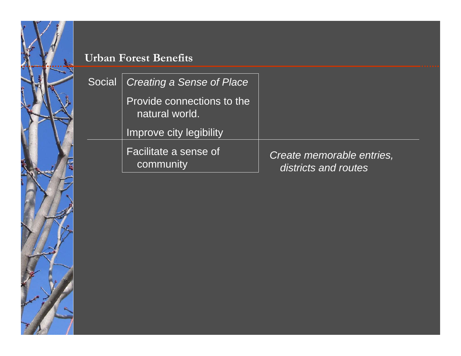# مبدأ

| Social | Creating a Sense of Place                           |                                                   |
|--------|-----------------------------------------------------|---------------------------------------------------|
|        | <b>Provide connections to the</b><br>natural world. |                                                   |
|        | Improve city legibility                             |                                                   |
|        | Facilitate a sense of<br>community                  | Create memorable entries,<br>districts and routes |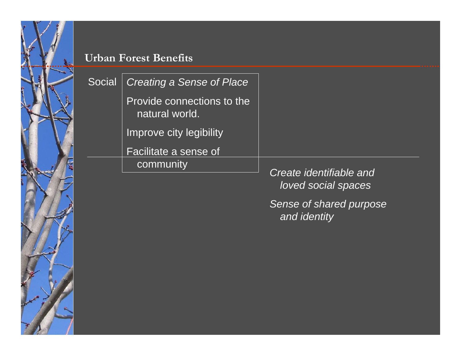

| Social | Creating a Sense of Place                    |                                                |
|--------|----------------------------------------------|------------------------------------------------|
|        | Provide connections to the<br>natural world. |                                                |
|        | <b>Improve city legibility</b>               |                                                |
|        | <b>Facilitate a sense of</b>                 |                                                |
|        | community                                    | Create identifiable and<br>loved social spaces |
|        |                                              | Sense of shared purpose<br>and identity        |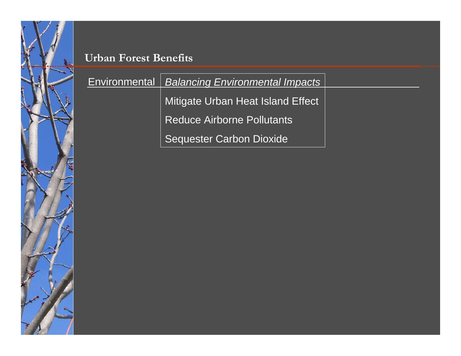مبرا

| <b>Environmental</b> | <b>Balancing Environmental Impacts</b> |  |
|----------------------|----------------------------------------|--|
|                      | Mitigate Urban Heat Island Effect      |  |
|                      | <b>Reduce Airborne Pollutants</b>      |  |
|                      | <b>Sequester Carbon Dioxide</b>        |  |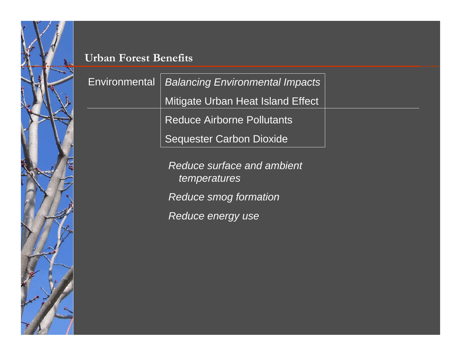| <b>Environmental</b> | <b>Balancing Environmental Impacts</b>            |  |
|----------------------|---------------------------------------------------|--|
|                      | Mitigate Urban Heat Island Effect                 |  |
|                      | <b>Reduce Airborne Pollutants</b>                 |  |
|                      | <b>Sequester Carbon Dioxide</b>                   |  |
|                      | <b>Reduce surface and ambient</b><br>temperatures |  |
|                      | Reduce smog formation                             |  |

*Reduce energy use*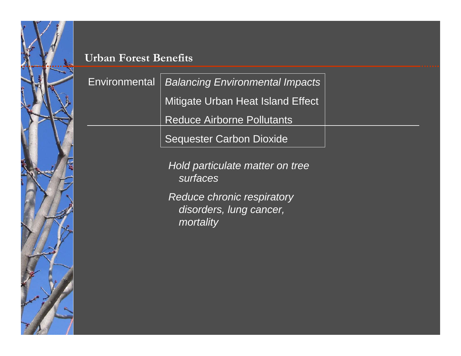| Environmental   Balancing Environmental Impacts |  |
|-------------------------------------------------|--|
| Mitigate Urban Heat Island Effect               |  |
| <b>Reduce Airborne Pollutants</b>               |  |
| <b>Sequester Carbon Dioxide</b>                 |  |

*Hold particulate matter on tree surfaces*

*Reduce chronic respiratory disorders, lung cancer, mortality*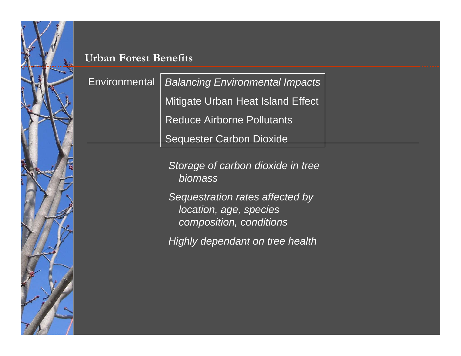**Environmental** *Balancing Environmental Impacts* Mitigate Urban Heat Island Effect Reduce Airborne Pollutants Sequester Carbon Dioxide

> *Storage of carbon dioxide in tree biomass*

*Sequestration rates affected by location, age, species composition, conditions*

*Highly dependant on tree health*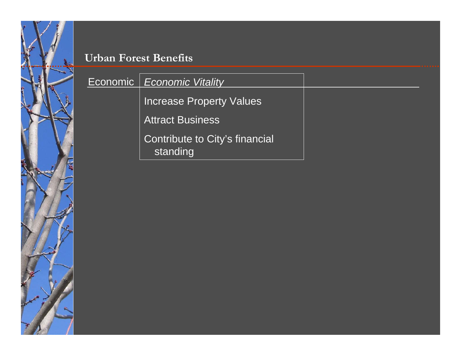

| Economic   Economic Vitality               |  |
|--------------------------------------------|--|
| <b>Increase Property Values</b>            |  |
| <b>Attract Business</b>                    |  |
| Contribute to City's financial<br>standing |  |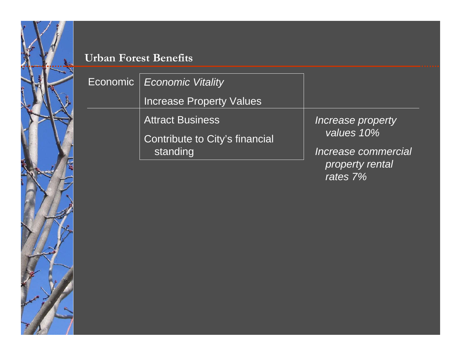

| Economic | Economic Vitality               |                             |
|----------|---------------------------------|-----------------------------|
|          | <b>Increase Property Values</b> |                             |
|          | <b>Attract Business</b>         | Increase property           |
|          | Contribute to City's financial  | values 10%                  |
|          | standing                        | Increase commercial         |
|          |                                 | property rental<br>rates 7% |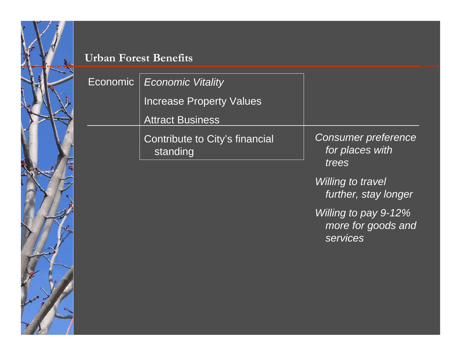Economic

| conomic | <b>Economic Vitality</b>                   |                                                        |
|---------|--------------------------------------------|--------------------------------------------------------|
|         | <b>Increase Property Values</b>            |                                                        |
|         | <b>Attract Business</b>                    |                                                        |
|         | Contribute to City's financial<br>standing | <b>Consumer preference</b><br>for places with<br>trees |
|         |                                            | <b>Willing to travel</b><br>further, stay longer       |

*Willing to pay 9-12% more for goods and services*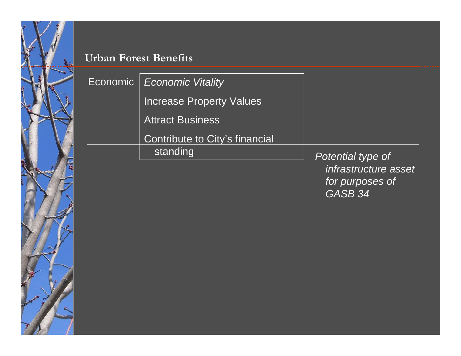

| Economic | <b>Economic Vitality</b>        |                                                                                    |
|----------|---------------------------------|------------------------------------------------------------------------------------|
|          | <b>Increase Property Values</b> |                                                                                    |
|          | <b>Attract Business</b>         |                                                                                    |
|          | Contribute to City's financial  |                                                                                    |
|          | standing                        | Potential type of<br>infrastructure asset<br>for purposes of<br>GASB <sub>34</sub> |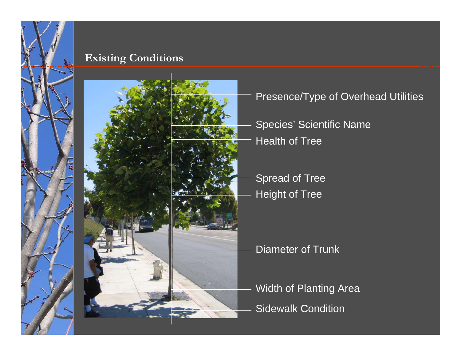# **Existing Conditions**





# Presence/Type of Overhead Utilities

- Species' Scientific Name Health of Tree
- Height of Tree Spread of Tree

# Diameter of Trunk

Width of Planting Area Sidewalk Condition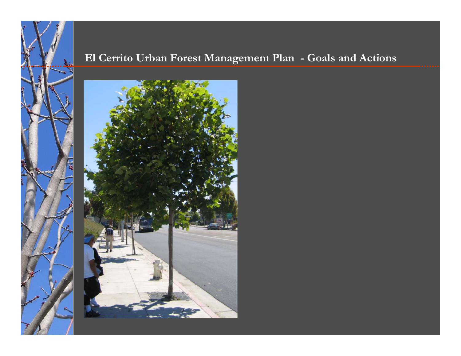# **El Cerrito Urban Forest Management Plan - Goals and Actions**



 $\overline{\mathscr{P}}$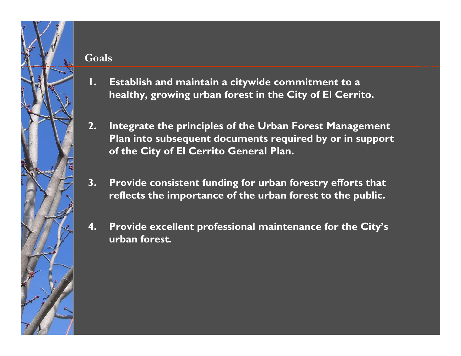### **Goals**

- **1. Establish and maintain a citywide commitment to a healthy, growing urban forest in the City of El Cerrito.**
- **2. Integrate the principles of the Urban Forest Management Plan into subsequent documents required by or in support of the City of El Cerrito General Plan.**
- **3. Provide consistent funding for urban forestry efforts that reflects the importance of the urban forest to the public.**
- **4. Provide excellent professional maintenance for the City's urban forest***.*